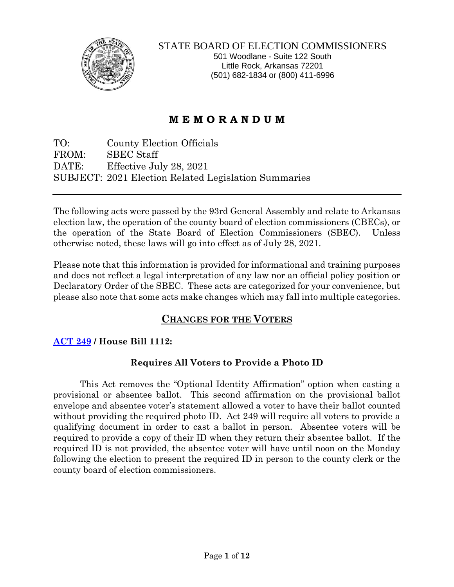

STATE BOARD OF ELECTION COMMISSIONERS 501 Woodlane - Suite 122 South Little Rock, Arkansas 72201 (501) 682-1834 or (800) 411-6996

# **M E M O R A N D U M**

TO: County Election Officials FROM: SBEC Staff DATE: Effective July 28, 2021 SUBJECT: 2021 Election Related Legislation Summaries

The following acts were passed by the 93rd General Assembly and relate to Arkansas election law, the operation of the county board of election commissioners (CBECs), or the operation of the State Board of Election Commissioners (SBEC). Unless otherwise noted, these laws will go into effect as of July 28, 2021.

Please note that this information is provided for informational and training purposes and does not reflect a legal interpretation of any law nor an official policy position or Declaratory Order of the SBEC. These acts are categorized for your convenience, but please also note that some acts make changes which may fall into multiple categories.

## **CHANGES FOR THE VOTERS**

## **[ACT 249](https://www.arkleg.state.ar.us/Acts/FTPDocument?file=249&path=%2FACTS%2F2021R%2FPublic%2F&ddBienniumSession=2021%2F2021R&Search=) / House Bill 1112:**

## **Requires All Voters to Provide a Photo ID**

This Act removes the "Optional Identity Affirmation" option when casting a provisional or absentee ballot. This second affirmation on the provisional ballot envelope and absentee voter's statement allowed a voter to have their ballot counted without providing the required photo ID. Act 249 will require all voters to provide a qualifying document in order to cast a ballot in person. Absentee voters will be required to provide a copy of their ID when they return their absentee ballot. If the required ID is not provided, the absentee voter will have until noon on the Monday following the election to present the required ID in person to the county clerk or the county board of election commissioners.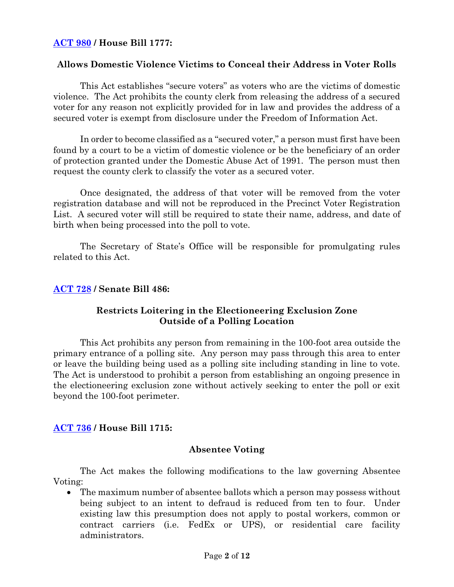## **[ACT 980](https://www.arkleg.state.ar.us/Acts/FTPDocument?file=980&path=%2FACTS%2F2021R%2FPublic%2F&ddBienniumSession=2021%2F2021R&Search=) / House Bill 1777:**

### **Allows Domestic Violence Victims to Conceal their Address in Voter Rolls**

This Act establishes "secure voters" as voters who are the victims of domestic violence. The Act prohibits the county clerk from releasing the address of a secured voter for any reason not explicitly provided for in law and provides the address of a secured voter is exempt from disclosure under the Freedom of Information Act.

In order to become classified as a "secured voter," a person must first have been found by a court to be a victim of domestic violence or be the beneficiary of an order of protection granted under the Domestic Abuse Act of 1991. The person must then request the county clerk to classify the voter as a secured voter.

Once designated, the address of that voter will be removed from the voter registration database and will not be reproduced in the Precinct Voter Registration List. A secured voter will still be required to state their name, address, and date of birth when being processed into the poll to vote.

The Secretary of State's Office will be responsible for promulgating rules related to this Act.

#### **[ACT 728](https://www.arkleg.state.ar.us/Acts/FTPDocument?file=728&path=%2FACTS%2F2021R%2FPublic%2F&ddBienniumSession=2021%2F2021R&Search=) / Senate Bill 486:**

### **Restricts Loitering in the Electioneering Exclusion Zone Outside of a Polling Location**

This Act prohibits any person from remaining in the 100-foot area outside the primary entrance of a polling site. Any person may pass through this area to enter or leave the building being used as a polling site including standing in line to vote. The Act is understood to prohibit a person from establishing an ongoing presence in the electioneering exclusion zone without actively seeking to enter the poll or exit beyond the 100-foot perimeter.

#### **[ACT 736](https://www.arkleg.state.ar.us/Acts/FTPDocument?file=736&path=%2FACTS%2F2021R%2FPublic%2F&ddBienniumSession=2021%2F2021R&Search=) / House Bill 1715:**

#### **Absentee Voting**

The Act makes the following modifications to the law governing Absentee Voting:

• The maximum number of absentee ballots which a person may possess without being subject to an intent to defraud is reduced from ten to four. Under existing law this presumption does not apply to postal workers, common or contract carriers (i.e. FedEx or UPS), or residential care facility administrators. ĺ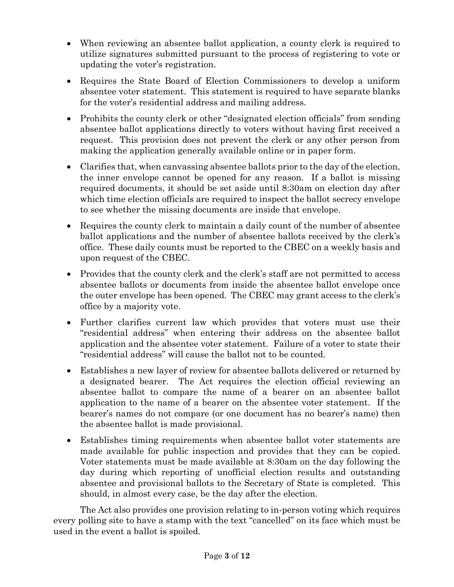- When reviewing an absentee ballot application, a county clerk is required to utilize signatures submitted pursuant to the process of registering to vote or updating the voter's registration.
- Requires the State Board of Election Commissioners to develop a uniform absentee voter statement. This statement is required to have separate blanks for the voter's residential address and mailing address.
- Prohibits the county clerk or other "designated election officials" from sending absentee ballot applications directly to voters without having first received a request. This provision does not prevent the clerk or any other person from making the application generally available online or in paper form.
- Clarifies that, when canvassing absentee ballots prior to the day of the election, the inner envelope cannot be opened for any reason. If a ballot is missing required documents, it should be set aside until 8:30am on election day after which time election officials are required to inspect the ballot secrecy envelope to see whether the missing documents are inside that envelope.
- Requires the county clerk to maintain a daily count of the number of absentee ballot applications and the number of absentee ballots received by the clerk's office. These daily counts must be reported to the CBEC on a weekly basis and upon request of the CBEC.
- Provides that the county clerk and the clerk's staff are not permitted to access absentee ballots or documents from inside the absentee ballot envelope once the outer envelope has been opened. The CBEC may grant access to the clerk's office by a majority vote.
- Further clarifies current law which provides that voters must use their "residential address" when entering their address on the absentee ballot application and the absentee voter statement. Failure of a voter to state their "residential address" will cause the ballot not to be counted.
- Establishes a new layer of review for absentee ballots delivered or returned by a designated bearer. The Act requires the election official reviewing an absentee ballot to compare the name of a bearer on an absentee ballot application to the name of a bearer on the absentee voter statement. If the bearer's names do not compare (or one document has no bearer's name) then the absentee ballot is made provisional.
- Establishes timing requirements when absentee ballot voter statements are made available for public inspection and provides that they can be copied. Voter statements must be made available at 8:30am on the day following the day during which reporting of unofficial election results and outstanding absentee and provisional ballots to the Secretary of State is completed. This should, in almost every case, be the day after the election.

The Act also provides one provision relating to in-person voting which requires every polling site to have a stamp with the text "cancelled" on its face which must be used in the event a ballot is spoiled.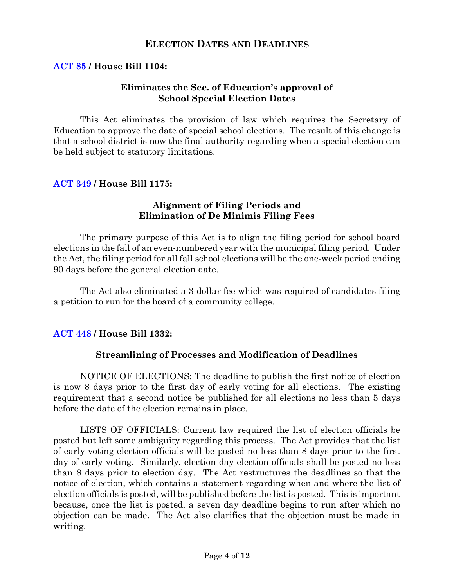## **ELECTION DATES AND DEADLINES**

## **[ACT](https://www.arkleg.state.ar.us/Acts/FTPDocument?file=85&path=%2FACTS%2F2021R%2FPublic%2F&ddBienniumSession=2021%2F2021R&Search=) 85 / House Bill 1104:**

### **Eliminates the Sec. of Education's approval of School Special Election Dates**

This Act eliminates the provision of law which requires the Secretary of Education to approve the date of special school elections. The result of this change is that a school district is now the final authority regarding when a special election can be held subject to statutory limitations.

### **[ACT 349](https://www.arkleg.state.ar.us/Acts/FTPDocument?file=349&path=%2FACTS%2F2021R%2FPublic%2F&ddBienniumSession=2021%2F2021R&Search=) / House Bill 1175:**

### **Alignment of Filing Periods and Elimination of De Minimis Filing Fees**

The primary purpose of this Act is to align the filing period for school board elections in the fall of an even-numbered year with the municipal filing period. Under the Act, the filing period for all fall school elections will be the one-week period ending 90 days before the general election date.

The Act also eliminated a 3-dollar fee which was required of candidates filing a petition to run for the board of a community college.

## **[ACT 448](https://www.arkleg.state.ar.us/Acts/FTPDocument?file=448&path=%2FACTS%2F2021R%2FPublic%2F&ddBienniumSession=2021%2F2021R&Search=) / House Bill 1332:**

## **Streamlining of Processes and Modification of Deadlines**

NOTICE OF ELECTIONS: The deadline to publish the first notice of election is now 8 days prior to the first day of early voting for all elections. The existing requirement that a second notice be published for all elections no less than 5 days before the date of the election remains in place.

LISTS OF OFFICIALS: Current law required the list of election officials be posted but left some ambiguity regarding this process. The Act provides that the list of early voting election officials will be posted no less than 8 days prior to the first day of early voting. Similarly, election day election officials shall be posted no less than 8 days prior to election day. The Act restructures the deadlines so that the notice of election, which contains a statement regarding when and where the list of election officials is posted, will be published before the list is posted. This is important because, once the list is posted, a seven day deadline begins to run after which no objection can be made. The Act also clarifies that the objection must be made in writing.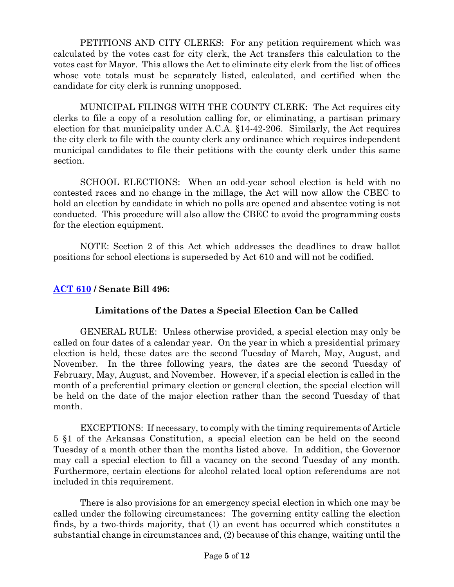PETITIONS AND CITY CLERKS: For any petition requirement which was calculated by the votes cast for city clerk, the Act transfers this calculation to the votes cast for Mayor. This allows the Act to eliminate city clerk from the list of offices whose vote totals must be separately listed, calculated, and certified when the candidate for city clerk is running unopposed.

MUNICIPAL FILINGS WITH THE COUNTY CLERK: The Act requires city clerks to file a copy of a resolution calling for, or eliminating, a partisan primary election for that municipality under A.C.A. §14-42-206. Similarly, the Act requires the city clerk to file with the county clerk any ordinance which requires independent municipal candidates to file their petitions with the county clerk under this same section.

SCHOOL ELECTIONS: When an odd-year school election is held with no contested races and no change in the millage, the Act will now allow the CBEC to hold an election by candidate in which no polls are opened and absentee voting is not conducted. This procedure will also allow the CBEC to avoid the programming costs for the election equipment.

NOTE: Section 2 of this Act which addresses the deadlines to draw ballot positions for school elections is superseded by Act 610 and will not be codified.

## **[ACT 610](https://www.arkleg.state.ar.us/Acts/FTPDocument?file=610&path=%2FACTS%2F2021R%2FPublic%2F&ddBienniumSession=2021%2F2021R&Search=) / Senate Bill 496:**

## **Limitations of the Dates a Special Election Can be Called**

GENERAL RULE: Unless otherwise provided, a special election may only be called on four dates of a calendar year. On the year in which a presidential primary election is held, these dates are the second Tuesday of March, May, August, and November. In the three following years, the dates are the second Tuesday of February, May, August, and November. However, if a special election is called in the month of a preferential primary election or general election, the special election will be held on the date of the major election rather than the second Tuesday of that month.

EXCEPTIONS: If necessary, to comply with the timing requirements of Article 5 §1 of the Arkansas Constitution, a special election can be held on the second Tuesday of a month other than the months listed above. In addition, the Governor may call a special election to fill a vacancy on the second Tuesday of any month. Furthermore, certain elections for alcohol related local option referendums are not included in this requirement.

There is also provisions for an emergency special election in which one may be called under the following circumstances: The governing entity calling the election finds, by a two-thirds majority, that (1) an event has occurred which constitutes a substantial change in circumstances and, (2) because of this change, waiting until the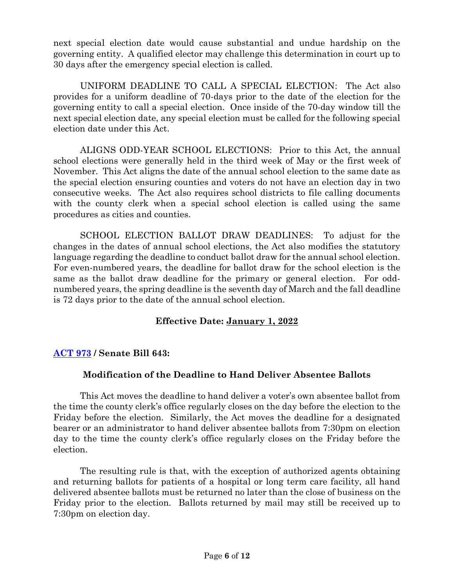next special election date would cause substantial and undue hardship on the governing entity. A qualified elector may challenge this determination in court up to 30 days after the emergency special election is called.

UNIFORM DEADLINE TO CALL A SPECIAL ELECTION: The Act also provides for a uniform deadline of 70-days prior to the date of the election for the governing entity to call a special election. Once inside of the 70-day window till the next special election date, any special election must be called for the following special election date under this Act.

ALIGNS ODD-YEAR SCHOOL ELECTIONS: Prior to this Act, the annual school elections were generally held in the third week of May or the first week of November. This Act aligns the date of the annual school election to the same date as the special election ensuring counties and voters do not have an election day in two consecutive weeks. The Act also requires school districts to file calling documents with the county clerk when a special school election is called using the same procedures as cities and counties.

SCHOOL ELECTION BALLOT DRAW DEADLINES: To adjust for the changes in the dates of annual school elections, the Act also modifies the statutory language regarding the deadline to conduct ballot draw for the annual school election. For even-numbered years, the deadline for ballot draw for the school election is the same as the ballot draw deadline for the primary or general election. For oddnumbered years, the spring deadline is the seventh day of March and the fall deadline is 72 days prior to the date of the annual school election.

## **Effective Date: January 1, 2022**

## **[ACT 973](https://www.arkleg.state.ar.us/Acts/FTPDocument?file=973&path=%2FACTS%2F2021R%2FPublic%2F&ddBienniumSession=2021%2F2021R&Search=) / Senate Bill 643:**

## **Modification of the Deadline to Hand Deliver Absentee Ballots**

This Act moves the deadline to hand deliver a voter's own absentee ballot from the time the county clerk's office regularly closes on the day before the election to the Friday before the election. Similarly, the Act moves the deadline for a designated bearer or an administrator to hand deliver absentee ballots from 7:30pm on election day to the time the county clerk's office regularly closes on the Friday before the election.

The resulting rule is that, with the exception of authorized agents obtaining and returning ballots for patients of a hospital or long term care facility, all hand delivered absentee ballots must be returned no later than the close of business on the Friday prior to the election. Ballots returned by mail may still be received up to 7:30pm on election day.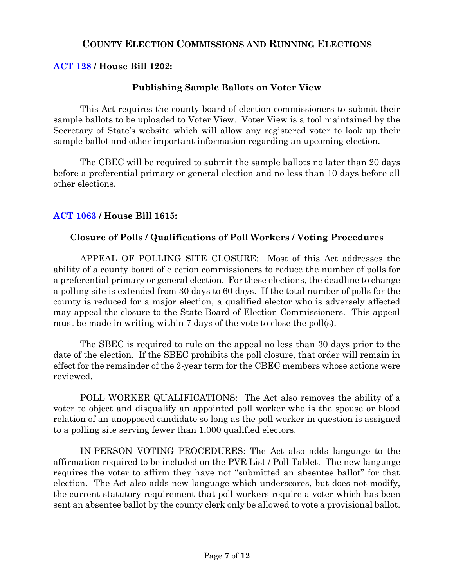## **COUNTY ELECTION COMMISSIONS AND RUNNING ELECTIONS**

## **[ACT](https://www.arkleg.state.ar.us/Acts/FTPDocument?file=128&path=%2FACTS%2F2021R%2FPublic%2F&ddBienniumSession=2021%2F2021R&Search=) 128 / House Bill 1202:**

## **Publishing Sample Ballots on Voter View**

This Act requires the county board of election commissioners to submit their sample ballots to be uploaded to Voter View. Voter View is a tool maintained by the Secretary of State's website which will allow any registered voter to look up their sample ballot and other important information regarding an upcoming election.

The CBEC will be required to submit the sample ballots no later than 20 days before a preferential primary or general election and no less than 10 days before all other elections.

## **[ACT 1063](https://www.arkleg.state.ar.us/Acts/FTPDocument?file=1063&path=%2FACTS%2F2021R%2FPublic%2F&ddBienniumSession=2021%2F2021R&Search=) / House Bill 1615:**

### **Closure of Polls / Qualifications of Poll Workers / Voting Procedures**

APPEAL OF POLLING SITE CLOSURE: Most of this Act addresses the ability of a county board of election commissioners to reduce the number of polls for a preferential primary or general election. For these elections, the deadline to change a polling site is extended from 30 days to 60 days. If the total number of polls for the county is reduced for a major election, a qualified elector who is adversely affected may appeal the closure to the State Board of Election Commissioners. This appeal must be made in writing within 7 days of the vote to close the poll(s).

The SBEC is required to rule on the appeal no less than 30 days prior to the date of the election. If the SBEC prohibits the poll closure, that order will remain in effect for the remainder of the 2-year term for the CBEC members whose actions were reviewed.

POLL WORKER QUALIFICATIONS: The Act also removes the ability of a voter to object and disqualify an appointed poll worker who is the spouse or blood relation of an unopposed candidate so long as the poll worker in question is assigned to a polling site serving fewer than 1,000 qualified electors.

IN-PERSON VOTING PROCEDURES: The Act also adds language to the affirmation required to be included on the PVR List / Poll Tablet. The new language requires the voter to affirm they have not "submitted an absentee ballot" for that election. The Act also adds new language which underscores, but does not modify, the current statutory requirement that poll workers require a voter which has been sent an absentee ballot by the county clerk only be allowed to vote a provisional ballot.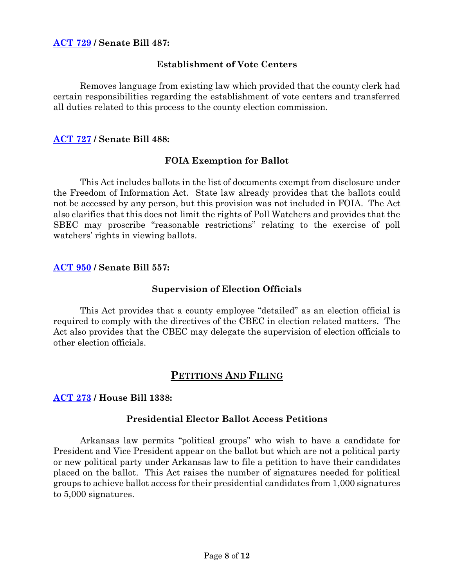### **[ACT 729](https://www.arkleg.state.ar.us/Acts/FTPDocument?file=729&path=%2FACTS%2F2021R%2FPublic%2F&ddBienniumSession=2021%2F2021R&Search=) / Senate Bill 487:**

#### **Establishment of Vote Centers**

Removes language from existing law which provided that the county clerk had certain responsibilities regarding the establishment of vote centers and transferred all duties related to this process to the county election commission.

#### **[ACT 727](https://www.arkleg.state.ar.us/Acts/FTPDocument?file=727&path=%2FACTS%2F2021R%2FPublic%2F&ddBienniumSession=2021%2F2021R&Search=) / Senate Bill 488:**

#### **FOIA Exemption for Ballot**

This Act includes ballots in the list of documents exempt from disclosure under the Freedom of Information Act. State law already provides that the ballots could not be accessed by any person, but this provision was not included in FOIA. The Act also clarifies that this does not limit the rights of Poll Watchers and provides that the SBEC may proscribe "reasonable restrictions" relating to the exercise of poll watchers' rights in viewing ballots.

#### **[ACT 950](https://www.arkleg.state.ar.us/Acts/FTPDocument?file=950&path=%2FACTS%2F2021R%2FPublic%2F&ddBienniumSession=2021%2F2021R&Search=) / Senate Bill 557:**

#### **Supervision of Election Officials**

This Act provides that a county employee "detailed" as an election official is required to comply with the directives of the CBEC in election related matters. The Act also provides that the CBEC may delegate the supervision of election officials to other election officials.

## **PETITIONS AND FILING**

#### **[ACT 273](https://www.arkleg.state.ar.us/Acts/FTPDocument?file=273&path=%2FACTS%2F2021R%2FPublic%2F&ddBienniumSession=2021%2F2021R&Search=) / House Bill 1338:**

#### **Presidential Elector Ballot Access Petitions**

Arkansas law permits "political groups" who wish to have a candidate for President and Vice President appear on the ballot but which are not a political party or new political party under Arkansas law to file a petition to have their candidates placed on the ballot. This Act raises the number of signatures needed for political groups to achieve ballot access for their presidential candidates from 1,000 signatures to 5,000 signatures.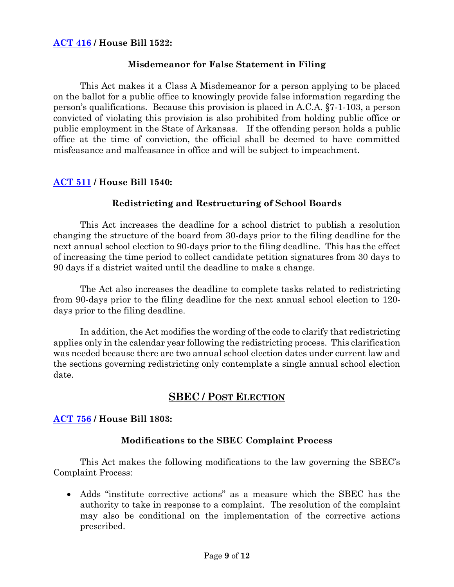## **[ACT 416](https://www.arkleg.state.ar.us/Acts/FTPDocument?file=951&path=%2FACTS%2F2021R%2FPublic%2F&ddBienniumSession=2021%2F2021R&Search=) / House Bill 1522:**

#### **Misdemeanor for False Statement in Filing**

This Act makes it a Class A Misdemeanor for a person applying to be placed on the ballot for a public office to knowingly provide false information regarding the person's qualifications. Because this provision is placed in A.C.A. §7-1-103, a person convicted of violating this provision is also prohibited from holding public office or public employment in the State of Arkansas. If the offending person holds a public office at the time of conviction, the official shall be deemed to have committed misfeasance and malfeasance in office and will be subject to impeachment.

#### **[ACT 511](https://www.arkleg.state.ar.us/Acts/FTPDocument?file=511&path=%2FACTS%2F2021R%2FPublic%2F&ddBienniumSession=2021%2F2021R&Search=) / House Bill 1540:**

### **Redistricting and Restructuring of School Boards**

This Act increases the deadline for a school district to publish a resolution changing the structure of the board from 30-days prior to the filing deadline for the next annual school election to 90-days prior to the filing deadline. This has the effect of increasing the time period to collect candidate petition signatures from 30 days to 90 days if a district waited until the deadline to make a change.

The Act also increases the deadline to complete tasks related to redistricting from 90-days prior to the filing deadline for the next annual school election to 120 days prior to the filing deadline.

In addition, the Act modifies the wording of the code to clarify that redistricting applies only in the calendar year following the redistricting process. This clarification was needed because there are two annual school election dates under current law and the sections governing redistricting only contemplate a single annual school election date.

## **SBEC / POST ELECTION**

#### **[ACT 756](https://www.arkleg.state.ar.us/Acts/FTPDocument?file=756&path=%2FACTS%2F2021R%2FPublic%2F&ddBienniumSession=2021%2F2021R&Search=) / House Bill 1803:**

#### **Modifications to the SBEC Complaint Process**

This Act makes the following modifications to the law governing the SBEC's Complaint Process:

• Adds "institute corrective actions" as a measure which the SBEC has the authority to take in response to a complaint. The resolution of the complaint may also be conditional on the implementation of the corrective actions prescribed.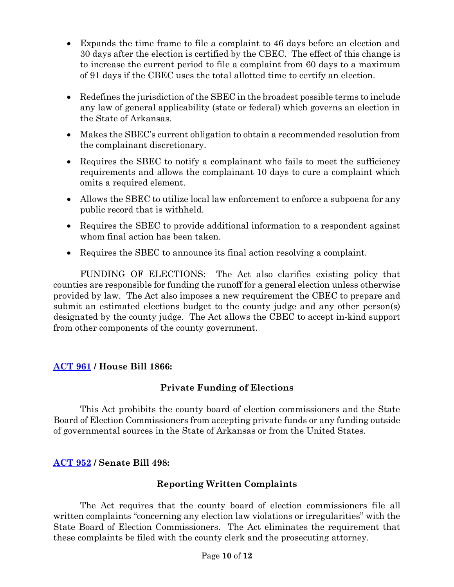- Expands the time frame to file a complaint to 46 days before an election and 30 days after the election is certified by the CBEC. The effect of this change is to increase the current period to file a complaint from 60 days to a maximum of 91 days if the CBEC uses the total allotted time to certify an election.
- Redefines the jurisdiction of the SBEC in the broadest possible terms to include any law of general applicability (state or federal) which governs an election in the State of Arkansas.
- Makes the SBEC's current obligation to obtain a recommended resolution from the complainant discretionary.
- Requires the SBEC to notify a complainant who fails to meet the sufficiency requirements and allows the complainant 10 days to cure a complaint which omits a required element.
- Allows the SBEC to utilize local law enforcement to enforce a subpoena for any public record that is withheld.
- Requires the SBEC to provide additional information to a respondent against whom final action has been taken.
- Requires the SBEC to announce its final action resolving a complaint.

FUNDING OF ELECTIONS: The Act also clarifies existing policy that counties are responsible for funding the runoff for a general election unless otherwise provided by law. The Act also imposes a new requirement the CBEC to prepare and submit an estimated elections budget to the county judge and any other person(s) designated by the county judge. The Act allows the CBEC to accept in-kind support from other components of the county government.

## **[ACT 961](https://www.arkleg.state.ar.us/Acts/FTPDocument?file=961&path=%2FACTS%2F2021R%2FPublic%2F&ddBienniumSession=2021%2F2021R&Search=) / House Bill 1866:**

## **Private Funding of Elections**

This Act prohibits the county board of election commissioners and the State Board of Election Commissioners from accepting private funds or any funding outside of governmental sources in the State of Arkansas or from the United States.

## **[ACT 952](https://www.arkleg.state.ar.us/Acts/FTPDocument?file=952&path=%2FACTS%2F2021R%2FPublic%2F&ddBienniumSession=2021%2F2021R&Search=) / Senate Bill 498:**

## **Reporting Written Complaints**

The Act requires that the county board of election commissioners file all written complaints "concerning any election law violations or irregularities" with the State Board of Election Commissioners. The Act eliminates the requirement that these complaints be filed with the county clerk and the prosecuting attorney.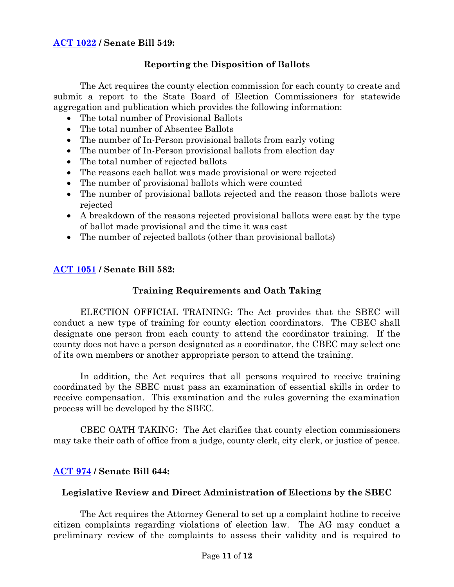## **Reporting the Disposition of Ballots**

The Act requires the county election commission for each county to create and submit a report to the State Board of Election Commissioners for statewide aggregation and publication which provides the following information:

- The total number of Provisional Ballots
- The total number of Absentee Ballots
- The number of In-Person provisional ballots from early voting
- The number of In-Person provisional ballots from election day
- The total number of rejected ballots
- The reasons each ballot was made provisional or were rejected
- The number of provisional ballots which were counted
- The number of provisional ballots rejected and the reason those ballots were rejected
- A breakdown of the reasons rejected provisional ballots were cast by the type of ballot made provisional and the time it was cast
- The number of rejected ballots (other than provisional ballots)

## **[ACT 1051](https://www.arkleg.state.ar.us/Acts/FTPDocument?file=1051&path=%2FACTS%2F2021R%2FPublic%2F&ddBienniumSession=2021%2F2021R&Search=) / Senate Bill 582:**

## **Training Requirements and Oath Taking**

ELECTION OFFICIAL TRAINING: The Act provides that the SBEC will conduct a new type of training for county election coordinators. The CBEC shall designate one person from each county to attend the coordinator training. If the county does not have a person designated as a coordinator, the CBEC may select one of its own members or another appropriate person to attend the training.

In addition, the Act requires that all persons required to receive training coordinated by the SBEC must pass an examination of essential skills in order to receive compensation. This examination and the rules governing the examination process will be developed by the SBEC.

CBEC OATH TAKING: The Act clarifies that county election commissioners may take their oath of office from a judge, county clerk, city clerk, or justice of peace.

## **[ACT 974](https://www.arkleg.state.ar.us/Acts/FTPDocument?file=974&path=%2FACTS%2F2021R%2FPublic%2F&ddBienniumSession=2021%2F2021R&Search=) / Senate Bill 644:**

#### **Legislative Review and Direct Administration of Elections by the SBEC**

The Act requires the Attorney General to set up a complaint hotline to receive citizen complaints regarding violations of election law. The AG may conduct a preliminary review of the complaints to assess their validity and is required to